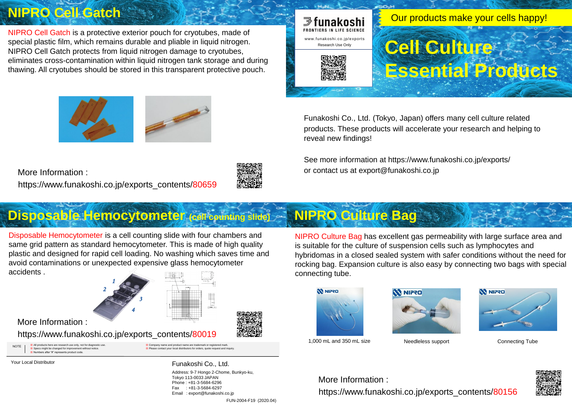※ All products here are research use only, not for diagnostic use. ※ Specs might be changed for improvement without notice. rs after "#" represents product code WOTE Not all products here are research use only, not for diagnostic use. We are the secontact your local distributors for orders, quote request and inquiry.<br>We Please contact your local distributors for orders, quote req

ame and product name are trademark or registered mark

Your Local Distributor **Funakoshi Co., Ltd.** 

Address: 9-7 Hongo 2-Chome, Bunkyo-ku, Tokyo 113-0033 JAPAN Phone : +81-3-5684-6296 Fax : +81-3-5684-6297 Email : export@funakoshi.co.jp FUN-2004-F19 (2020.04)

Funakoshi Co., Ltd. (Tokyo, Japan) offers many cell culture related products. These products will accelerate your research and helping to reveal new findings!

See more information at https://www.funakoshi.co.jp/exports/ or contact us at export@funakoshi.co.jp

## **Disposable Hemocytometer (cell counting slide) NIPRO Culture Bag**

### **NIPRO Cell Gatch**

https://www.funakoshi.co.jp/exports\_contents/80019

More Information :

NIPRO Culture Bag has excellent gas permeability with large surface area and is suitable for the culture of suspension cells such as lymphocytes and hybridomas in a closed sealed system with safer conditions without the need for rocking bag. Expansion culture is also easy by connecting two bags with special connecting tube.



https://www.funakoshi.co.jp/exports\_contents/80156 More Information :











https://www.funakoshi.co.jp/exports\_contents/80659 More Information :



NIPRO Cell Gatch is a protective exterior pouch for cryotubes, made of special plastic film, which remains durable and pliable in liquid nitrogen. NIPRO Cell Gatch protects from liquid nitrogen damage to cryotubes, eliminates cross-contamination within liquid nitrogen tank storage and during thawing. All cryotubes should be stored in this transparent protective pouch.

Disposable Hemocytometer is a cell counting slide with four chambers and same grid pattern as standard hemocytometer. This is made of high quality plastic and designed for rapid cell loading. No washing which saves time and avoid contaminations or unexpected expensive glass hemocytometer accidents .